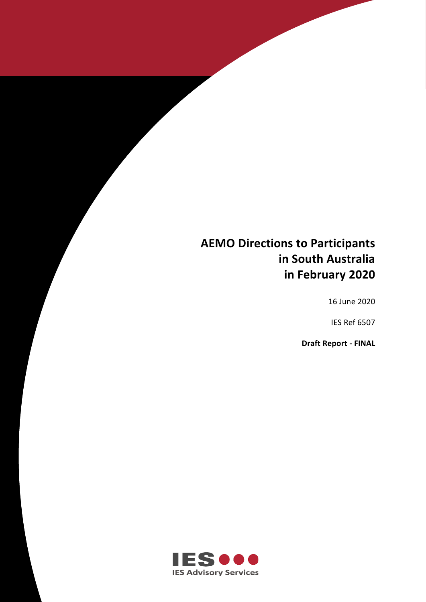# **AEMO Directions to Participants in South Australia in February 2020**

**AEMO DIRECTIONS TO PARTICIPANTS IN SOUTH AUSTRALIA IN FEBRURAY 2020**

16 June 2020

IES Ref 6507

**Draft Report - FINAL**

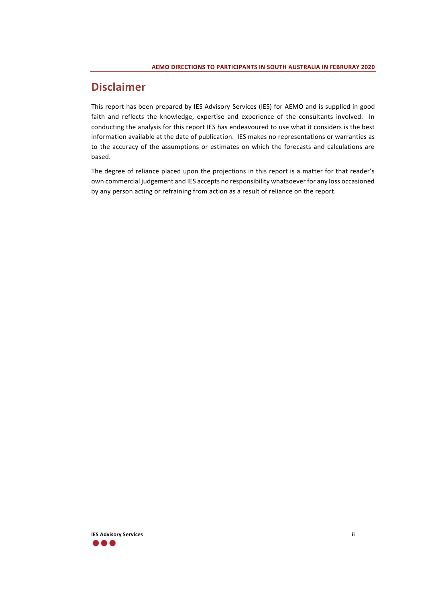# **Disclaimer**

This report has been prepared by IES Advisory Services (IES) for AEMO and is supplied in good faith and reflects the knowledge, expertise and experience of the consultants involved. In conducting the analysis for this report IES has endeavoured to use what it considers is the best information available at the date of publication. IES makes no representations or warranties as to the accuracy of the assumptions or estimates on which the forecasts and calculations are based.

The degree of reliance placed upon the projections in this report is a matter for that reader's own commercial judgement and IES accepts no responsibility whatsoever for any loss occasioned by any person acting or refraining from action as a result of reliance on the report.

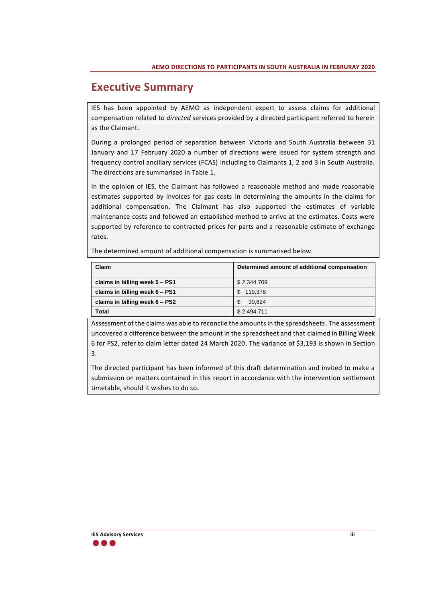# **Executive Summary**

IES has been appointed by AEMO as independent expert to assess claims for additional compensation related to *directed* services provided by a directed participant referred to herein as the Claimant.

During a prolonged period of separation between Victoria and South Australia between 31 January and 17 February 2020 a number of directions were issued for system strength and frequency control ancillary services (FCAS) including to Claimants 1, 2 and 3 in South Australia. The directions are summarised in [Table 1.](#page-5-0)

In the opinion of IES, the Claimant has followed a reasonable method and made reasonable estimates supported by invoices for gas costs in determining the amounts in the claims for additional compensation. The Claimant has also supported the estimates of variable maintenance costs and followed an established method to arrive at the estimates. Costs were supported by reference to contracted prices for parts and a reasonable estimate of exchange rates.

The determined amount of additional compensation is summarised below.

| Claim                          | Determined amount of additional compensation |
|--------------------------------|----------------------------------------------|
| claims in billing week 5 - PS1 | \$2,344,709                                  |
| claims in billing week 6 - PS1 | 119.378<br>\$.                               |
| claims in billing week 6 - PS2 | 30.624                                       |
| <b>Total</b>                   | \$2,494,711                                  |

Assessment of the claims was able to reconcile the amounts in the spreadsheets. The assessment uncovered a difference between the amount in the spreadsheet and that claimed in Billing Week 6 for PS2, refer to claim letter dated 24 March 2020. The variance of \$3,193 is shown in Section 3.

The directed participant has been informed of this draft determination and invited to make a submission on matters contained in this report in accordance with the intervention settlement timetable, should it wishes to do so.

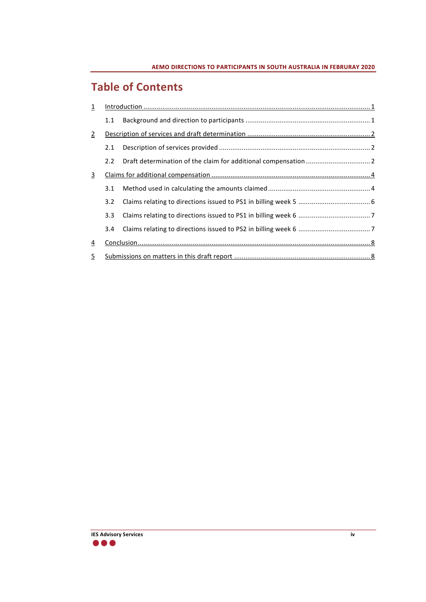# **Table of Contents**

| $\overline{1}$ |               |  |  |  |  |  |  |
|----------------|---------------|--|--|--|--|--|--|
|                | 1.1           |  |  |  |  |  |  |
| $\overline{2}$ |               |  |  |  |  |  |  |
|                | 2.1           |  |  |  |  |  |  |
|                | 2.2           |  |  |  |  |  |  |
| $\overline{3}$ |               |  |  |  |  |  |  |
|                | 3.1           |  |  |  |  |  |  |
|                | $3.2^{\circ}$ |  |  |  |  |  |  |
|                | 3.3           |  |  |  |  |  |  |
|                | 3.4           |  |  |  |  |  |  |
| <u>4</u>       |               |  |  |  |  |  |  |
| $\overline{5}$ |               |  |  |  |  |  |  |

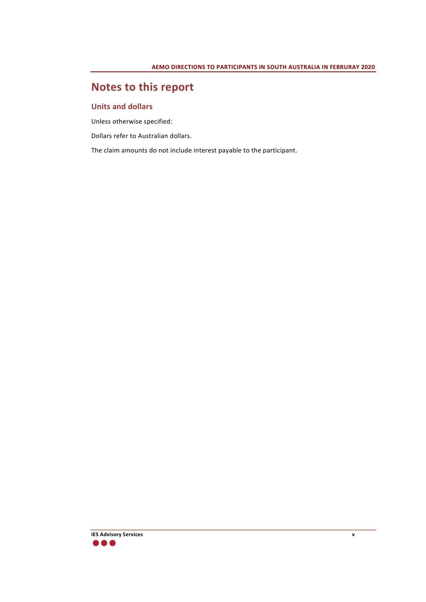# **Notes to this report**

#### **Units and dollars**

Unless otherwise specified:

Dollars refer to Australian dollars.

The claim amounts do not include interest payable to the participant.

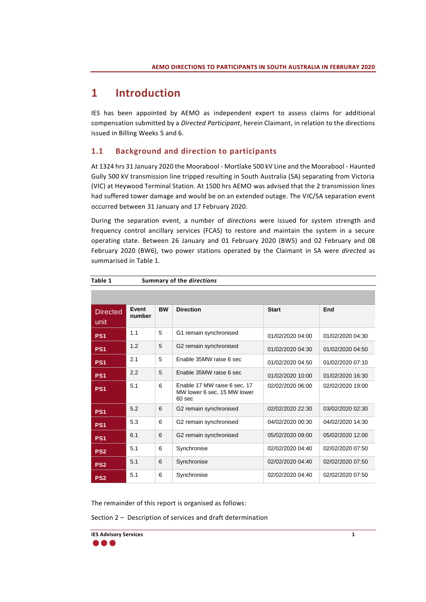# <span id="page-5-1"></span>**1 Introduction**

IES has been appointed by AEMO as independent expert to assess claims for additional compensation submitted by a *Directed Participant*, herein Claimant, in relation to the directions issued in Billing Weeks 5 and 6.

## <span id="page-5-2"></span>**1.1 Background and direction to participants**

At 1324 hrs 31 January 2020 the Moorabool - Mortlake 500 kV Line and the Moorabool - Haunted Gully 500 kV transmission line tripped resulting in South Australia (SA) separating from Victoria (VIC) at Heywood Terminal Station. At 1500 hrs AEMO was advised that the 2 transmission lines had suffered tower damage and would be on an extended outage. The VIC/SA separation event occurred between 31 January and 17 February 2020.

During the separation event, a number of *directions* were issued for system strength and frequency control ancillary services (FCAS) to restore and maintain the system in a secure operating state. Between 26 January and 01 February 2020 (BW5) and 02 February and 08 February 2020 (BW6), two power stations operated by the Claimant in SA were *directed* as summarised in [Table 1.](#page-5-0)

| <b>Directed</b><br>unit | Event<br>number | <b>BW</b> | <b>Direction</b>                                                                 | <b>Start</b>     | End              |
|-------------------------|-----------------|-----------|----------------------------------------------------------------------------------|------------------|------------------|
| PS <sub>1</sub>         | 1.1             | 5         | G1 remain synchronised                                                           | 01/02/2020 04:00 | 01/02/2020 04:30 |
| PS <sub>1</sub>         | 1.2             | 5         | G2 remain synchronised                                                           | 01/02/2020 04:30 | 01/02/2020 04:50 |
| PS <sub>1</sub>         | 2.1             | 5         | Enable 35MW raise 6 sec                                                          | 01/02/2020 04:50 | 01/02/2020 07:10 |
| PS <sub>1</sub>         | 2.2             | 5         | Enable 35MW raise 6 sec                                                          | 01/02/2020 10:00 | 01/02/2020 16:30 |
| PS <sub>1</sub>         | 5.1             | 6         | Enable 17 MW raise 6 sec, 17<br>MW lower 6 sec, 15 MW lower<br>60 <sub>sec</sub> | 02/02/2020 06:00 | 02/02/2020 19:00 |
| PS <sub>1</sub>         | 5.2             | 6         | G2 remain synchronised                                                           | 02/02/2020 22:30 | 03/02/2020 02:30 |
| PS <sub>1</sub>         | 5.3             | 6         | G2 remain synchronised                                                           | 04/02/2020 00:30 | 04/02/2020 14:30 |
| PS <sub>1</sub>         | 6.1             | 6         | G2 remain synchronised                                                           | 05/02/2020 09:00 | 05/02/2020 12:00 |
| PS <sub>2</sub>         | 5.1             | 6         | Synchronise                                                                      | 02/02/2020 04:40 | 02/02/2020 07:50 |
| PS <sub>2</sub>         | 5.1             | 6         | Synchronise                                                                      | 02/02/2020 04:40 | 02/02/2020 07:50 |
| PS <sub>2</sub>         | 5.1             | 6         | Synchronise                                                                      | 02/02/2020 04:40 | 02/02/2020 07:50 |

<span id="page-5-0"></span>**Table 1 Summary of the** *directions*

The remainder of this report is organised as follows:

Section 2 – Description of services and draft determination

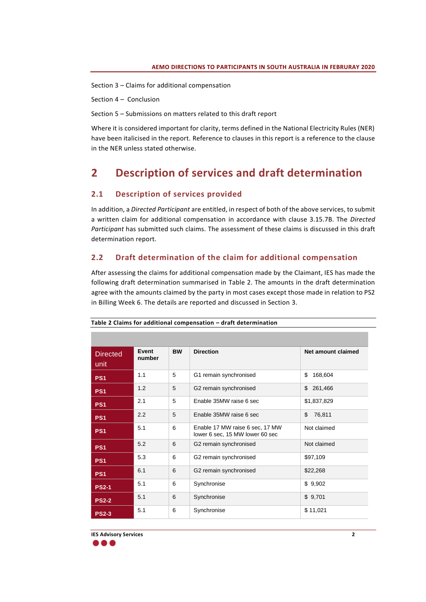Section 3 – Claims for additional compensation

Section 4 – Conclusion

Section 5 – Submissions on matters related to this draft report

Where it is considered important for clarity, terms defined in the National Electricity Rules (NER) have been italicised in the report. Reference to clauses in this report is a reference to the clause in the NER unless stated otherwise.

# <span id="page-6-0"></span>**2 Description of services and draft determination**

### <span id="page-6-1"></span>**2.1 Description of services provided**

In addition, a *Directed Participant* are entitled, in respect of both of the above services, to submit a written claim for additional compensation in accordance with clause 3.15.7B. The *Directed Participant* has submitted such claims. The assessment of these claims is discussed in this draft determination report.

### <span id="page-6-2"></span>**2.2 Draft determination of the claim for additional compensation**

After assessing the claims for additional compensation made by the Claimant, IES has made the following draft determination summarised in [Table 2.](#page-6-3) The amounts in the draft determination agree with the amounts claimed by the party in most cases except those made in relation to PS2 in Billing Week 6. The details are reported and discussed in Section [3.](#page-8-0)

| <b>Directed</b><br>unit | Event<br>number | <b>BW</b> | <b>Direction</b>                                                   | Net amount claimed |
|-------------------------|-----------------|-----------|--------------------------------------------------------------------|--------------------|
| PS <sub>1</sub>         | 1.1             | 5         | G1 remain synchronised                                             | \$<br>168,604      |
| PS <sub>1</sub>         | 1.2             | 5         | G2 remain synchronised                                             | \$<br>261,466      |
| PS <sub>1</sub>         | 2.1             | 5         | Enable 35MW raise 6 sec                                            | \$1,837,829        |
| PS <sub>1</sub>         | 2.2             | 5         | Enable 35MW raise 6 sec                                            | \$<br>76,811       |
| PS <sub>1</sub>         | 5.1             | 6         | Enable 17 MW raise 6 sec, 17 MW<br>lower 6 sec, 15 MW lower 60 sec | Not claimed        |
| PS <sub>1</sub>         | 5.2             | 6         | G2 remain synchronised                                             | Not claimed        |
| PS <sub>1</sub>         | 5.3             | 6         | G2 remain synchronised                                             | \$97,109           |
| PS <sub>1</sub>         | 6.1             | 6         | G2 remain synchronised                                             | \$22,268           |
| <b>PS2-1</b>            | 5.1             | 6         | Synchronise                                                        | \$9,902            |
| <b>PS2-2</b>            | 5.1             | 6         | Synchronise                                                        | \$9,701            |
| <b>PS2-3</b>            | 5.1             | 6         | Synchronise                                                        | \$11,021           |

<span id="page-6-3"></span>**Table 2 Claims for additional compensation – draft determination**

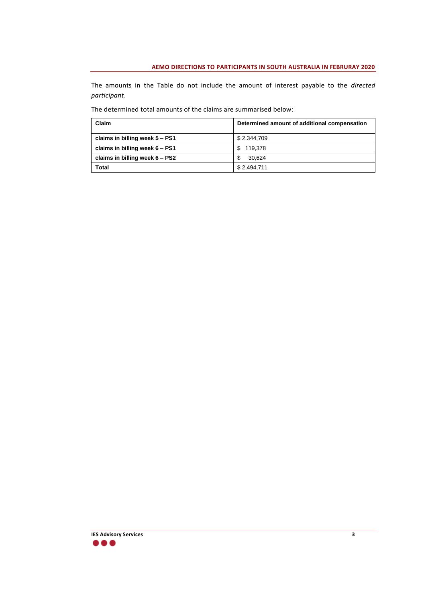The amounts in the Table do not include the amount of interest payable to the *directed participant*.

| Claim                          | Determined amount of additional compensation |
|--------------------------------|----------------------------------------------|
| claims in billing week 5 - PS1 | \$2,344,709                                  |
| claims in billing week 6 - PS1 | 119.378<br>S.                                |
| claims in billing week 6 - PS2 | 30.624                                       |
| <b>Total</b>                   | \$2,494,711                                  |

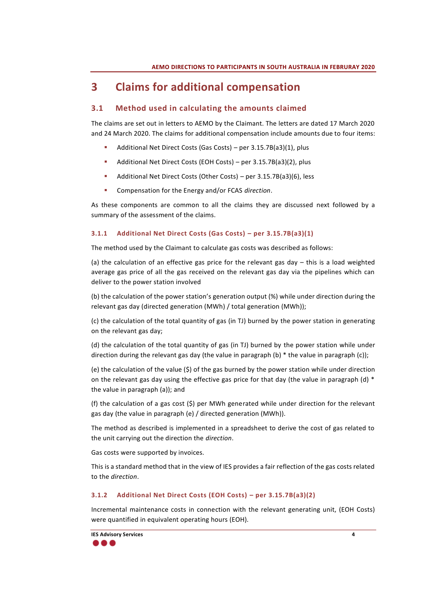# <span id="page-8-0"></span>**3 Claims for additional compensation**

## <span id="page-8-1"></span>**3.1 Method used in calculating the amounts claimed**

The claims are set out in letters to AEMO by the Claimant. The letters are dated 17 March 2020 and 24 March 2020. The claims for additional compensation include amounts due to four items:

- Additional Net Direct Costs (Gas Costs) per 3.15.7B(a3)(1), plus
- Additional Net Direct Costs (EOH Costs) per 3.15.7B(a3)(2), plus
- Additional Net Direct Costs (Other Costs) per 3.15.7B(a3)(6), less
- Compensation for the Energy and/or FCAS *direction*.

As these components are common to all the claims they are discussed next followed by a summary of the assessment of the claims.

### **3.1.1 Additional Net Direct Costs (Gas Costs) – per 3.15.7B(a3)(1)**

The method used by the Claimant to calculate gas costs was described as follows:

(a) the calculation of an effective gas price for the relevant gas day  $-$  this is a load weighted average gas price of all the gas received on the relevant gas day via the pipelines which can deliver to the power station involved

(b) the calculation of the power station's generation output (%) while under direction during the relevant gas day (directed generation (MWh) / total generation (MWh));

(c) the calculation of the total quantity of gas (in TJ) burned by the power station in generating on the relevant gas day;

(d) the calculation of the total quantity of gas (in TJ) burned by the power station while under direction during the relevant gas day (the value in paragraph (b)  $*$  the value in paragraph (c));

(e) the calculation of the value (\$) of the gas burned by the power station while under direction on the relevant gas day using the effective gas price for that day (the value in paragraph (d) \* the value in paragraph (a)); and

(f) the calculation of a gas cost (\$) per MWh generated while under direction for the relevant gas day (the value in paragraph (e) / directed generation (MWh)).

The method as described is implemented in a spreadsheet to derive the cost of gas related to the unit carrying out the direction the *direction*.

Gas costs were supported by invoices.

This is a standard method that in the view of IES provides a fair reflection of the gas costs related to the *direction*.

### **3.1.2 Additional Net Direct Costs (EOH Costs) – per 3.15.7B(a3)(2)**

Incremental maintenance costs in connection with the relevant generating unit, (EOH Costs) were quantified in equivalent operating hours (EOH).

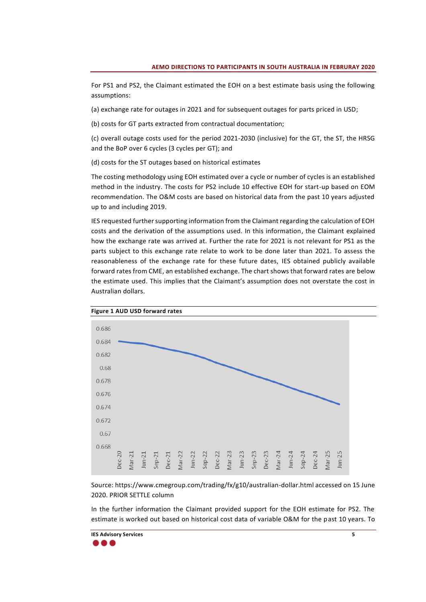For PS1 and PS2, the Claimant estimated the EOH on a best estimate basis using the following assumptions:

(a) exchange rate for outages in 2021 and for subsequent outages for parts priced in USD;

(b) costs for GT parts extracted from contractual documentation;

(c) overall outage costs used for the period 2021-2030 (inclusive) for the GT, the ST, the HRSG and the BoP over 6 cycles (3 cycles per GT); and

(d) costs for the ST outages based on historical estimates

The costing methodology using EOH estimated over a cycle or number of cycles is an established method in the industry. The costs for PS2 include 10 effective EOH for start-up based on EOM recommendation. The O&M costs are based on historical data from the past 10 years adjusted up to and including 2019.

IES requested further supporting information from the Claimant regarding the calculation of EOH costs and the derivation of the assumptions used. In this information, the Claimant explained how the exchange rate was arrived at. Further the rate for 2021 is not relevant for PS1 as the parts subject to this exchange rate relate to work to be done later than 2021. To assess the reasonableness of the exchange rate for these future dates, IES obtained publicly available forward rates from CME, an established exchange. The chart shows that forward rates are below the estimate used. This implies that the Claimant's assumption does not overstate the cost in Australian dollars.



Source: https://www.cmegroup.com/trading/fx/g10/australian-dollar.html accessed on 15 June 2020. PRIOR SETTLE column

In the further information the Claimant provided support for the EOH estimate for PS2. The estimate is worked out based on historical cost data of variable O&M for the past 10 years. To

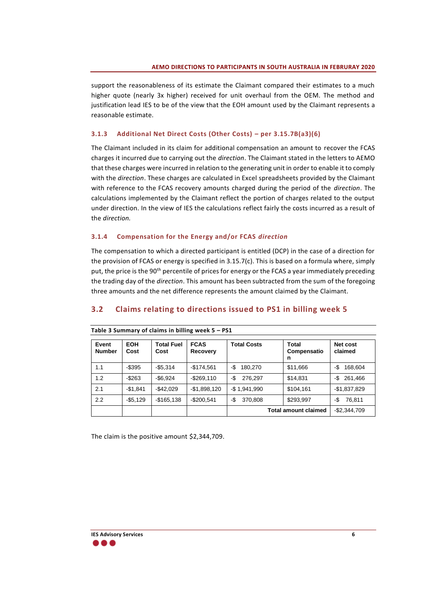support the reasonableness of its estimate the Claimant compared their estimates to a much higher quote (nearly 3x higher) received for unit overhaul from the OEM. The method and justification lead IES to be of the view that the EOH amount used by the Claimant represents a reasonable estimate.

### **3.1.3 Additional Net Direct Costs (Other Costs) – per 3.15.7B(a3)(6)**

The Claimant included in its claim for additional compensation an amount to recover the FCAS charges it incurred due to carrying out the *direction*. The Claimant stated in the letters to AEMO that these charges were incurred in relation to the generating unit in order to enable it to comply with the *direction*. These charges are calculated in Excel spreadsheets provided by the Claimant with reference to the FCAS recovery amounts charged during the period of the *direction*. The calculations implemented by the Claimant reflect the portion of charges related to the output under direction. In the view of IES the calculations reflect fairly the costs incurred as a result of the *direction.*

#### **3.1.4 Compensation for the Energy and/or FCAS** *direction*

The compensation to which a directed participant is entitled (DCP) in the case of a direction for the provision of FCAS or energy is specified in 3.15.7(c). This is based on a formula where, simply put, the price is the 90<sup>th</sup> percentile of prices for energy or the FCAS a year immediately preceding the trading day of the *direction*. This amount has been subtracted from the sum of the foregoing three amounts and the net difference represents the amount claimed by the Claimant.

## <span id="page-10-0"></span>**3.2 Claims relating to directions issued to PS1 in billing week 5**

| Event<br><b>Number</b> | <b>EOH</b><br>Cost | <b>Total Fuel</b><br>Cost | <b>FCAS</b><br>Recovery | <b>Total Costs</b>          | Total<br>Compensatio<br>n | Net cost<br>claimed |
|------------------------|--------------------|---------------------------|-------------------------|-----------------------------|---------------------------|---------------------|
| 1.1                    | $-$ \$395          | $-$ \$5,314               | $-$174,561$             | 180,270<br>-\$              | \$11,666                  | 168,604<br>-\$      |
| 1.2                    | $-$ \$263          | $-$ \$6.924               | $-$ \$269,110           | 276,297<br>-\$              | \$14,831                  | 261,466<br>-\$      |
| 2.1                    | $-$1,841$          | $-$ \$42.029              | $-$1,898,120$           | $-$ \$1,941,990             | \$104,161                 | $-$1,837,829$       |
| 2.2                    | $-$5,129$          | $-$165,138$               | $-$200,541$             | 370,808<br>-\$              | \$293,997                 | 76,811<br>-\$       |
|                        |                    |                           |                         | <b>Total amount claimed</b> |                           | $-$2,344,709$       |

#### **Table 3 Summary of claims in billing week 5 – PS1**

The claim is the positive amount \$2,344,709.

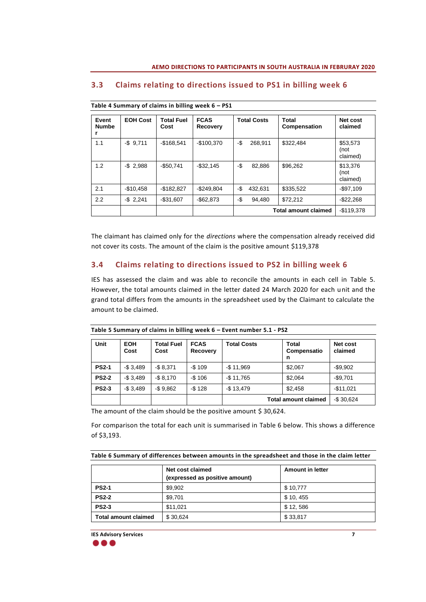| Event<br><b>Numbe</b> | <b>EOH Cost</b> | <b>Total Fuel</b><br>Cost | <b>FCAS</b><br><b>Recovery</b> | <b>Total Costs</b> | Total<br>Compensation       | Net cost<br>claimed          |
|-----------------------|-----------------|---------------------------|--------------------------------|--------------------|-----------------------------|------------------------------|
| 1.1                   | $-$9,711$       | $-$168,541$               | $-$100,370$                    | -\$<br>268,911     | \$322,484                   | \$53,573<br>(not<br>claimed) |
| 1.2                   | $-$ \$ 2,988    | $-$50.741$                | $-$ \$32,145                   | -\$<br>82.886      | \$96,262                    | \$13,376<br>(not<br>claimed) |
| 2.1                   | $-$10,458$      | $-$182,827$               | $-$ \$249.804                  | -\$<br>432,631     | \$335,522                   | $-$97,109$                   |
| 2.2                   | $-$ \$ 2,241    | $-$31,607$                | $-$ \$62,873                   | -\$<br>94,480      | \$72,212                    | $-$ \$22,268                 |
|                       |                 |                           |                                |                    | <b>Total amount claimed</b> | $-$119.378$                  |

### <span id="page-11-0"></span>**3.3 Claims relating to directions issued to PS1 in billing week 6**

**Table 4 Summary of claims in billing week 6 – PS1**

The claimant has claimed only for the *directions* where the compensation already received did not cover its costs. The amount of the claim is the positive amount \$119,378

### <span id="page-11-1"></span>**3.4 Claims relating to directions issued to PS2 in billing week 6**

IES has assessed the claim and was able to reconcile the amounts in each cell in [Table 5.](#page-11-2) However, the total amounts claimed in the letter dated 24 March 2020 for each unit and the grand total differs from the amounts in the spreadsheet used by the Claimant to calculate the amount to be claimed.

| <b>Unit</b>  | <b>EOH</b><br>Cost | <b>Total Fuel</b><br>Cost | <b>FCAS</b><br>Recovery | <b>Total Costs</b>          | <b>Total</b><br>Compensatio<br>n | Net cost<br>claimed |
|--------------|--------------------|---------------------------|-------------------------|-----------------------------|----------------------------------|---------------------|
| <b>PS2-1</b> | $-$3.489$          | $-$ \$ 8.371              | $-$109$                 | $-$11,969$                  | \$2.067                          | $-$ \$9.902         |
| <b>PS2-2</b> | $-$3.489$          | $-$ \$ 8.170              | $-$106$                 | $-$11,765$                  | \$2,064                          | $-$9,701$           |
| <b>PS2-3</b> | $-$3.489$          | $-$9,862$                 | $-$128$                 | $-$13,479$                  | \$2.458                          | $-$11,021$          |
|              |                    |                           |                         | <b>Total amount claimed</b> | $-$30,624$                       |                     |

<span id="page-11-2"></span>**Table 5 Summary of claims in billing week 6 – Event number 5.1 - PS2**

The amount of the claim should be the positive amount \$ 30,624.

For comparison the total for each unit is summarised in [Table 6](#page-11-3) below. This shows a difference of \$3,193.

<span id="page-11-3"></span>**Table 6 Summary of differences between amounts in the spreadsheet and those in the claim letter**

| Net cost claimed<br>(expressed as positive amount) |          | <b>Amount in letter</b> |
|----------------------------------------------------|----------|-------------------------|
| <b>PS2-1</b>                                       | \$9,902  | \$10,777                |
| <b>PS2-2</b>                                       | \$9,701  | \$10, 455               |
| <b>PS2-3</b>                                       | \$11,021 | \$12,586                |
| <b>Total amount claimed</b>                        | \$30,624 | \$33,817                |